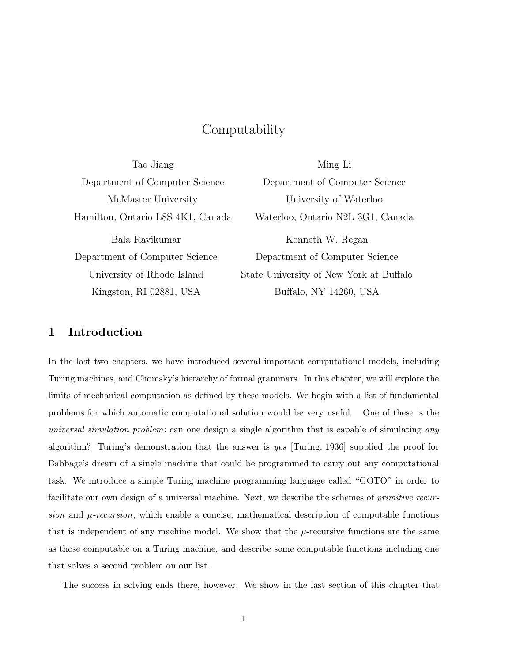## Computability

| Tao Jiang                         | Ming Li                                 |
|-----------------------------------|-----------------------------------------|
| Department of Computer Science    | Department of Computer Science          |
| McMaster University               | University of Waterloo                  |
| Hamilton, Ontario L8S 4K1, Canada | Waterloo, Ontario N2L 3G1, Canada       |
|                                   |                                         |
| Bala Ravikumar                    | Kenneth W. Regan                        |
| Department of Computer Science    | Department of Computer Science          |
| University of Rhode Island        | State University of New York at Buffalo |

## 1 Introduction

In the last two chapters, we have introduced several important computational models, including Turing machines, and Chomsky's hierarchy of formal grammars. In this chapter, we will explore the limits of mechanical computation as defined by these models. We begin with a list of fundamental problems for which automatic computational solution would be very useful. One of these is the universal simulation problem: can one design a single algorithm that is capable of simulating any algorithm? Turing's demonstration that the answer is yes [Turing, 1936] supplied the proof for Babbage's dream of a single machine that could be programmed to carry out any computational task. We introduce a simple Turing machine programming language called "GOTO" in order to facilitate our own design of a universal machine. Next, we describe the schemes of *primitive recur*sion and  $\mu$ -recursion, which enable a concise, mathematical description of computable functions that is independent of any machine model. We show that the  $\mu$ -recursive functions are the same as those computable on a Turing machine, and describe some computable functions including one that solves a second problem on our list.

The success in solving ends there, however. We show in the last section of this chapter that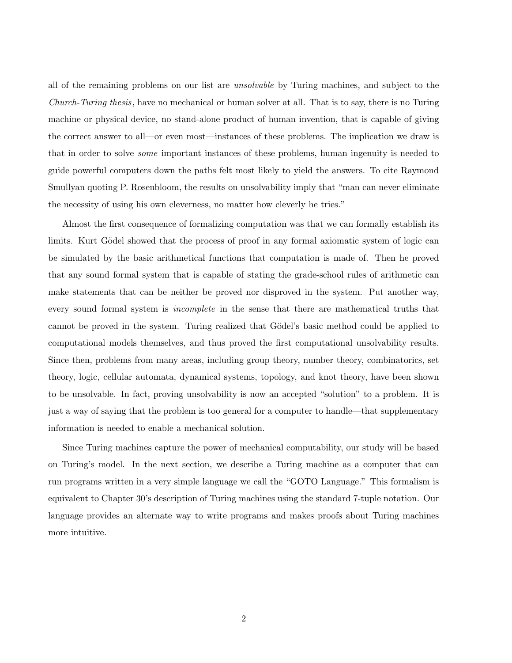all of the remaining problems on our list are unsolvable by Turing machines, and subject to the Church-Turing thesis, have no mechanical or human solver at all. That is to say, there is no Turing machine or physical device, no stand-alone product of human invention, that is capable of giving the correct answer to all—or even most—instances of these problems. The implication we draw is that in order to solve some important instances of these problems, human ingenuity is needed to guide powerful computers down the paths felt most likely to yield the answers. To cite Raymond Smullyan quoting P. Rosenbloom, the results on unsolvability imply that "man can never eliminate the necessity of using his own cleverness, no matter how cleverly he tries."

Almost the first consequence of formalizing computation was that we can formally establish its limits. Kurt Gödel showed that the process of proof in any formal axiomatic system of logic can be simulated by the basic arithmetical functions that computation is made of. Then he proved that any sound formal system that is capable of stating the grade-school rules of arithmetic can make statements that can be neither be proved nor disproved in the system. Put another way, every sound formal system is incomplete in the sense that there are mathematical truths that cannot be proved in the system. Turing realized that Gödel's basic method could be applied to computational models themselves, and thus proved the first computational unsolvability results. Since then, problems from many areas, including group theory, number theory, combinatorics, set theory, logic, cellular automata, dynamical systems, topology, and knot theory, have been shown to be unsolvable. In fact, proving unsolvability is now an accepted "solution" to a problem. It is just a way of saying that the problem is too general for a computer to handle—that supplementary information is needed to enable a mechanical solution.

Since Turing machines capture the power of mechanical computability, our study will be based on Turing's model. In the next section, we describe a Turing machine as a computer that can run programs written in a very simple language we call the "GOTO Language." This formalism is equivalent to Chapter 30's description of Turing machines using the standard 7-tuple notation. Our language provides an alternate way to write programs and makes proofs about Turing machines more intuitive.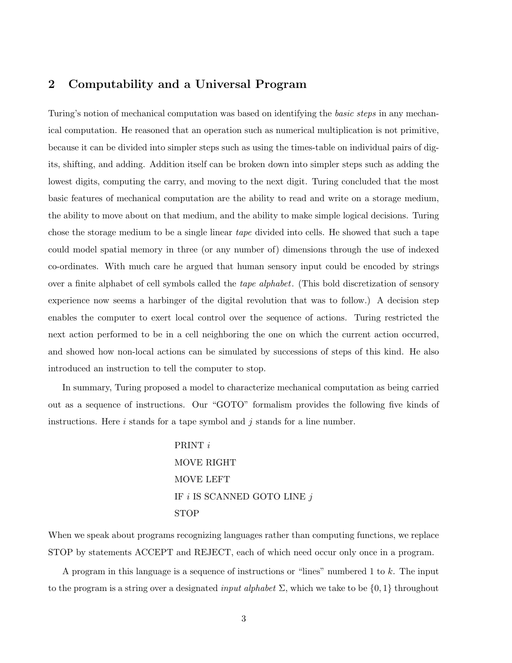## 2 Computability and a Universal Program

Turing's notion of mechanical computation was based on identifying the basic steps in any mechanical computation. He reasoned that an operation such as numerical multiplication is not primitive, because it can be divided into simpler steps such as using the times-table on individual pairs of digits, shifting, and adding. Addition itself can be broken down into simpler steps such as adding the lowest digits, computing the carry, and moving to the next digit. Turing concluded that the most basic features of mechanical computation are the ability to read and write on a storage medium, the ability to move about on that medium, and the ability to make simple logical decisions. Turing chose the storage medium to be a single linear tape divided into cells. He showed that such a tape could model spatial memory in three (or any number of) dimensions through the use of indexed co-ordinates. With much care he argued that human sensory input could be encoded by strings over a finite alphabet of cell symbols called the tape alphabet. (This bold discretization of sensory experience now seems a harbinger of the digital revolution that was to follow.) A decision step enables the computer to exert local control over the sequence of actions. Turing restricted the next action performed to be in a cell neighboring the one on which the current action occurred, and showed how non-local actions can be simulated by successions of steps of this kind. He also introduced an instruction to tell the computer to stop.

In summary, Turing proposed a model to characterize mechanical computation as being carried out as a sequence of instructions. Our "GOTO" formalism provides the following five kinds of instructions. Here  $i$  stands for a tape symbol and  $j$  stands for a line number.

> PRINT  $i$ MOVE RIGHT MOVE LEFT IF  $i$  IS SCANNED GOTO LINE  $j$ STOP

When we speak about programs recognizing languages rather than computing functions, we replace STOP by statements ACCEPT and REJECT, each of which need occur only once in a program.

A program in this language is a sequence of instructions or "lines" numbered 1 to  $k$ . The input to the program is a string over a designated *input alphabet*  $\Sigma$ , which we take to be  $\{0, 1\}$  throughout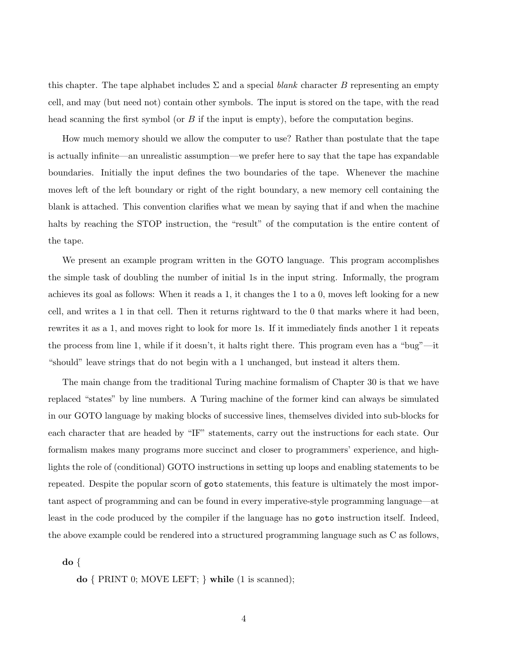this chapter. The tape alphabet includes  $\Sigma$  and a special blank character B representing an empty cell, and may (but need not) contain other symbols. The input is stored on the tape, with the read head scanning the first symbol (or B if the input is empty), before the computation begins.

How much memory should we allow the computer to use? Rather than postulate that the tape is actually infinite—an unrealistic assumption—we prefer here to say that the tape has expandable boundaries. Initially the input defines the two boundaries of the tape. Whenever the machine moves left of the left boundary or right of the right boundary, a new memory cell containing the blank is attached. This convention clarifies what we mean by saying that if and when the machine halts by reaching the STOP instruction, the "result" of the computation is the entire content of the tape.

We present an example program written in the GOTO language. This program accomplishes the simple task of doubling the number of initial 1s in the input string. Informally, the program achieves its goal as follows: When it reads a 1, it changes the 1 to a 0, moves left looking for a new cell, and writes a 1 in that cell. Then it returns rightward to the 0 that marks where it had been, rewrites it as a 1, and moves right to look for more 1s. If it immediately finds another 1 it repeats the process from line 1, while if it doesn't, it halts right there. This program even has a "bug"—it "should" leave strings that do not begin with a 1 unchanged, but instead it alters them.

The main change from the traditional Turing machine formalism of Chapter 30 is that we have replaced "states" by line numbers. A Turing machine of the former kind can always be simulated in our GOTO language by making blocks of successive lines, themselves divided into sub-blocks for each character that are headed by "IF" statements, carry out the instructions for each state. Our formalism makes many programs more succinct and closer to programmers' experience, and highlights the role of (conditional) GOTO instructions in setting up loops and enabling statements to be repeated. Despite the popular scorn of goto statements, this feature is ultimately the most important aspect of programming and can be found in every imperative-style programming language—at least in the code produced by the compiler if the language has no goto instruction itself. Indeed, the above example could be rendered into a structured programming language such as C as follows,

do {

 $\textbf{do} \{ \text{PRINT 0}; \text{MOVE LEFT}; \} \textbf{while} (1 \text{ is scanned});$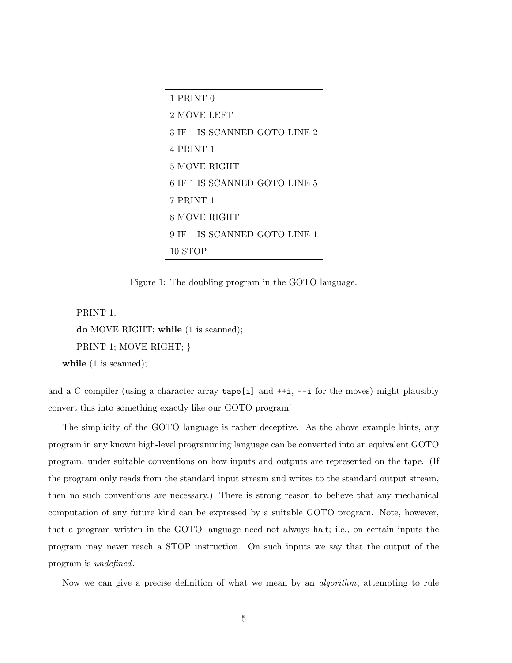1 PRINT 0 2 MOVE LEFT 3 IF 1 IS SCANNED GOTO LINE 2 4 PRINT 1 5 MOVE RIGHT 6 IF 1 IS SCANNED GOTO LINE 5 7 PRINT 1 8 MOVE RIGHT 9 IF 1 IS SCANNED GOTO LINE 1 10 STOP

Figure 1: The doubling program in the GOTO language.

PRINT 1;

do MOVE RIGHT; while (1 is scanned);

PRINT 1; MOVE RIGHT; }

while  $(1 \text{ is scanned});$ 

and a C compiler (using a character array  $\tt tape[i]$  and  $++i$ ,  $--i$  for the moves) might plausibly convert this into something exactly like our GOTO program!

The simplicity of the GOTO language is rather deceptive. As the above example hints, any program in any known high-level programming language can be converted into an equivalent GOTO program, under suitable conventions on how inputs and outputs are represented on the tape. (If the program only reads from the standard input stream and writes to the standard output stream, then no such conventions are necessary.) There is strong reason to believe that any mechanical computation of any future kind can be expressed by a suitable GOTO program. Note, however, that a program written in the GOTO language need not always halt; i.e., on certain inputs the program may never reach a STOP instruction. On such inputs we say that the output of the program is undefined.

Now we can give a precise definition of what we mean by an *algorithm*, attempting to rule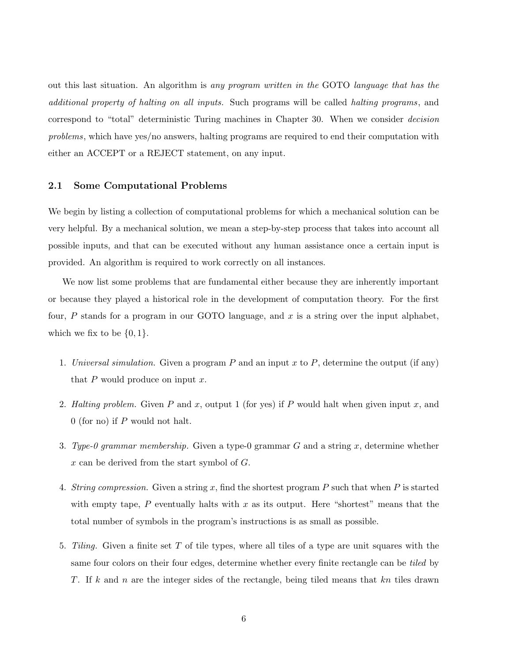out this last situation. An algorithm is any program written in the GOTO language that has the additional property of halting on all inputs. Such programs will be called halting programs, and correspond to "total" deterministic Turing machines in Chapter 30. When we consider decision problems, which have yes/no answers, halting programs are required to end their computation with either an ACCEPT or a REJECT statement, on any input.

#### 2.1 Some Computational Problems

We begin by listing a collection of computational problems for which a mechanical solution can be very helpful. By a mechanical solution, we mean a step-by-step process that takes into account all possible inputs, and that can be executed without any human assistance once a certain input is provided. An algorithm is required to work correctly on all instances.

We now list some problems that are fundamental either because they are inherently important or because they played a historical role in the development of computation theory. For the first four,  $P$  stands for a program in our GOTO language, and  $x$  is a string over the input alphabet, which we fix to be  $\{0, 1\}$ .

- 1. Universal simulation. Given a program P and an input x to P, determine the output (if any) that  $P$  would produce on input  $x$ .
- 2. Halting problem. Given P and x, output 1 (for yes) if P would halt when given input x, and 0 (for no) if P would not halt.
- 3. Type-0 grammar membership. Given a type-0 grammar  $G$  and a string  $x$ , determine whether x can be derived from the start symbol of G.
- 4. String compression. Given a string x, find the shortest program  $P$  such that when  $P$  is started with empty tape,  $P$  eventually halts with  $x$  as its output. Here "shortest" means that the total number of symbols in the program's instructions is as small as possible.
- 5. Tiling. Given a finite set T of tile types, where all tiles of a type are unit squares with the same four colors on their four edges, determine whether every finite rectangle can be tiled by T. If k and n are the integer sides of the rectangle, being tiled means that  $kn$  tiles drawn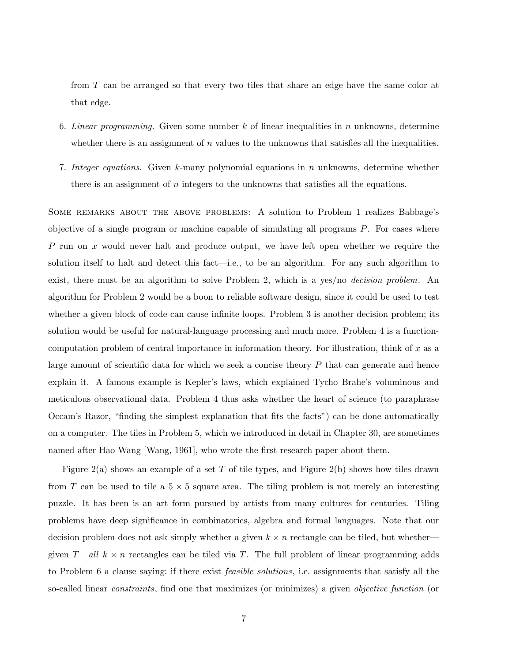from T can be arranged so that every two tiles that share an edge have the same color at that edge.

- 6. Linear programming. Given some number  $k$  of linear inequalities in n unknowns, determine whether there is an assignment of  $n$  values to the unknowns that satisfies all the inequalities.
- 7. Integer equations. Given k-many polynomial equations in n unknowns, determine whether there is an assignment of  $n$  integers to the unknowns that satisfies all the equations.

SOME REMARKS ABOUT THE ABOVE PROBLEMS: A solution to Problem 1 realizes Babbage's objective of a single program or machine capable of simulating all programs  $P$ . For cases where P run on x would never halt and produce output, we have left open whether we require the solution itself to halt and detect this fact—i.e., to be an algorithm. For any such algorithm to exist, there must be an algorithm to solve Problem 2, which is a yes/no *decision problem*. An algorithm for Problem 2 would be a boon to reliable software design, since it could be used to test whether a given block of code can cause infinite loops. Problem 3 is another decision problem; its solution would be useful for natural-language processing and much more. Problem 4 is a functioncomputation problem of central importance in information theory. For illustration, think of  $x$  as a large amount of scientific data for which we seek a concise theory  $P$  that can generate and hence explain it. A famous example is Kepler's laws, which explained Tycho Brahe's voluminous and meticulous observational data. Problem 4 thus asks whether the heart of science (to paraphrase Occam's Razor, "finding the simplest explanation that fits the facts") can be done automatically on a computer. The tiles in Problem 5, which we introduced in detail in Chapter 30, are sometimes named after Hao Wang [Wang, 1961], who wrote the first research paper about them.

Figure 2(a) shows an example of a set T of tile types, and Figure 2(b) shows how tiles drawn from T can be used to tile a  $5 \times 5$  square area. The tiling problem is not merely an interesting puzzle. It has been is an art form pursued by artists from many cultures for centuries. Tiling problems have deep significance in combinatorics, algebra and formal languages. Note that our decision problem does not ask simply whether a given  $k \times n$  rectangle can be tiled, but whether given  $T—all \; k \times n$  rectangles can be tiled via T. The full problem of linear programming adds to Problem 6 a clause saying: if there exist feasible solutions, i.e. assignments that satisfy all the so-called linear *constraints*, find one that maximizes (or minimizes) a given *objective function* (or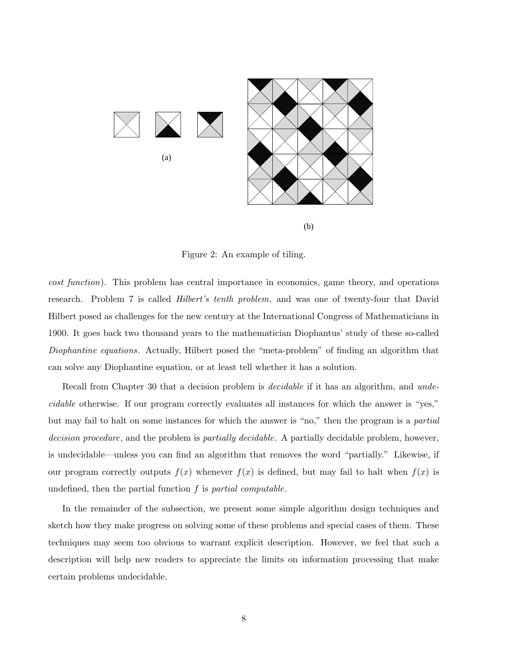

Figure 2: An example of tiling.

cost function). This problem has central importance in economics, game theory, and operations research. Problem 7 is called Hilbert's tenth problem, and was one of twenty-four that David Hilbert posed as challenges for the new century at the International Congress of Mathematicians in 1900. It goes back two thousand years to the mathematician Diophantus' study of these so-called Diophantine equations. Actually, Hilbert posed the "meta-problem" of finding an algorithm that can solve any Diophantine equation, or at least tell whether it has a solution.

Recall from Chapter 30 that a decision problem is *decidable* if it has an algorithm, and *unde*cidable otherwise. If our program correctly evaluates all instances for which the answer is "yes," but may fail to halt on some instances for which the answer is "no," then the program is a partial decision procedure, and the problem is partially decidable. A partially decidable problem, however, is undecidable—unless you can find an algorithm that removes the word "partially." Likewise, if our program correctly outputs  $f(x)$  whenever  $f(x)$  is defined, but may fail to halt when  $f(x)$  is undefined, then the partial function  $f$  is partial computable.

In the remainder of the subsection, we present some simple algorithm design techniques and sketch how they make progress on solving some of these problems and special cases of them. These techniques may seem too obvious to warrant explicit description. However, we feel that such a description will help new readers to appreciate the limits on information processing that make certain problems undecidable.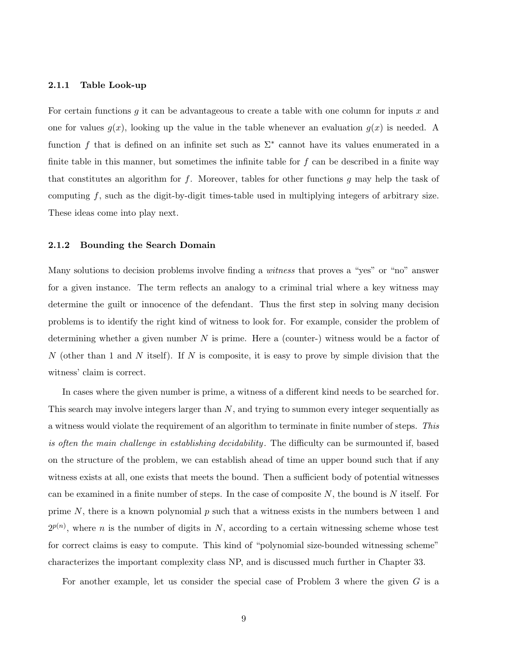#### 2.1.1 Table Look-up

For certain functions g it can be advantageous to create a table with one column for inputs x and one for values  $g(x)$ , looking up the value in the table whenever an evaluation  $g(x)$  is needed. A function f that is defined on an infinite set such as  $\Sigma^*$  cannot have its values enumerated in a finite table in this manner, but sometimes the infinite table for  $f$  can be described in a finite way that constitutes an algorithm for f. Moreover, tables for other functions q may help the task of computing  $f$ , such as the digit-by-digit times-table used in multiplying integers of arbitrary size. These ideas come into play next.

#### 2.1.2 Bounding the Search Domain

Many solutions to decision problems involve finding a *witness* that proves a "yes" or "no" answer for a given instance. The term reflects an analogy to a criminal trial where a key witness may determine the guilt or innocence of the defendant. Thus the first step in solving many decision problems is to identify the right kind of witness to look for. For example, consider the problem of determining whether a given number  $N$  is prime. Here a (counter-) witness would be a factor of N (other than 1 and N itself). If N is composite, it is easy to prove by simple division that the witness' claim is correct.

In cases where the given number is prime, a witness of a different kind needs to be searched for. This search may involve integers larger than  $N$ , and trying to summon every integer sequentially as a witness would violate the requirement of an algorithm to terminate in finite number of steps. This is often the main challenge in establishing decidability. The difficulty can be surmounted if, based on the structure of the problem, we can establish ahead of time an upper bound such that if any witness exists at all, one exists that meets the bound. Then a sufficient body of potential witnesses can be examined in a finite number of steps. In the case of composite  $N$ , the bound is  $N$  itself. For prime  $N$ , there is a known polynomial  $p$  such that a witness exists in the numbers between 1 and  $2^{p(n)}$ , where *n* is the number of digits in N, according to a certain witnessing scheme whose test for correct claims is easy to compute. This kind of "polynomial size-bounded witnessing scheme" characterizes the important complexity class NP, and is discussed much further in Chapter 33.

For another example, let us consider the special case of Problem 3 where the given G is a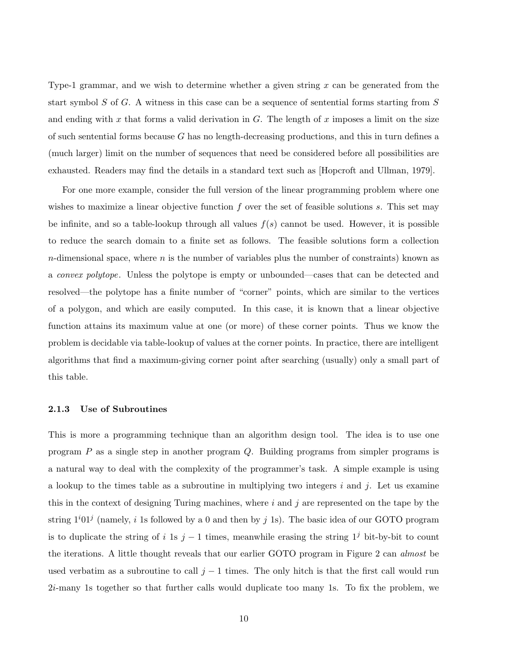Type-1 grammar, and we wish to determine whether a given string  $x$  can be generated from the start symbol S of G. A witness in this case can be a sequence of sentential forms starting from S and ending with x that forms a valid derivation in  $G$ . The length of x imposes a limit on the size of such sentential forms because  $G$  has no length-decreasing productions, and this in turn defines a (much larger) limit on the number of sequences that need be considered before all possibilities are exhausted. Readers may find the details in a standard text such as [Hopcroft and Ullman, 1979].

For one more example, consider the full version of the linear programming problem where one wishes to maximize a linear objective function  $f$  over the set of feasible solutions  $s$ . This set may be infinite, and so a table-lookup through all values  $f(s)$  cannot be used. However, it is possible to reduce the search domain to a finite set as follows. The feasible solutions form a collection  $n$ -dimensional space, where  $n$  is the number of variables plus the number of constraints) known as a convex polytope. Unless the polytope is empty or unbounded—cases that can be detected and resolved—the polytope has a finite number of "corner" points, which are similar to the vertices of a polygon, and which are easily computed. In this case, it is known that a linear objective function attains its maximum value at one (or more) of these corner points. Thus we know the problem is decidable via table-lookup of values at the corner points. In practice, there are intelligent algorithms that find a maximum-giving corner point after searching (usually) only a small part of this table.

#### 2.1.3 Use of Subroutines

This is more a programming technique than an algorithm design tool. The idea is to use one program P as a single step in another program Q. Building programs from simpler programs is a natural way to deal with the complexity of the programmer's task. A simple example is using a lookup to the times table as a subroutine in multiplying two integers  $i$  and  $j$ . Let us examine this in the context of designing Turing machines, where  $i$  and  $j$  are represented on the tape by the string  $1^i01^j$  (namely, i 1s followed by a 0 and then by j 1s). The basic idea of our GOTO program is to duplicate the string of i 1s j – 1 times, meanwhile erasing the string  $1^j$  bit-by-bit to count the iterations. A little thought reveals that our earlier GOTO program in Figure 2 can almost be used verbatim as a subroutine to call  $j - 1$  times. The only hitch is that the first call would run 2i-many 1s together so that further calls would duplicate too many 1s. To fix the problem, we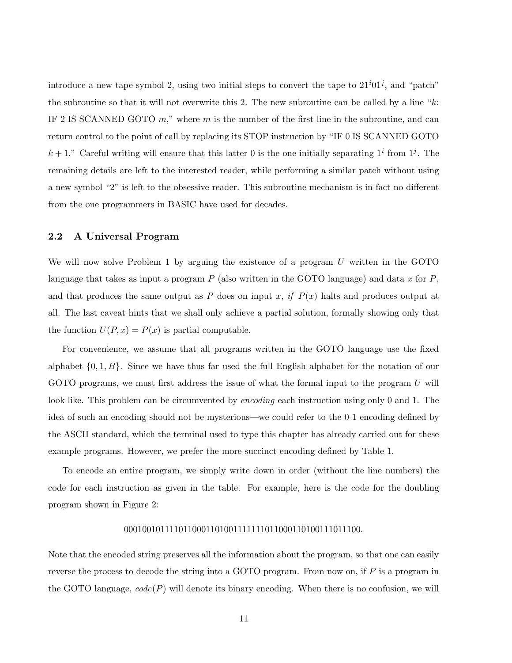introduce a new tape symbol 2, using two initial steps to convert the tape to  $21^i01^j$ , and "patch" the subroutine so that it will not overwrite this 2. The new subroutine can be called by a line " $k$ : IF 2 IS SCANNED GOTO  $m$ ," where  $m$  is the number of the first line in the subroutine, and can return control to the point of call by replacing its STOP instruction by "IF 0 IS SCANNED GOTO  $k+1$ ." Careful writing will ensure that this latter 0 is the one initially separating  $1^i$  from  $1^j$ . The remaining details are left to the interested reader, while performing a similar patch without using a new symbol "2" is left to the obsessive reader. This subroutine mechanism is in fact no different from the one programmers in BASIC have used for decades.

#### 2.2 A Universal Program

We will now solve Problem 1 by arguing the existence of a program U written in the GOTO language that takes as input a program  $P$  (also written in the GOTO language) and data x for  $P$ , and that produces the same output as P does on input x, if  $P(x)$  halts and produces output at all. The last caveat hints that we shall only achieve a partial solution, formally showing only that the function  $U(P, x) = P(x)$  is partial computable.

For convenience, we assume that all programs written in the GOTO language use the fixed alphabet  $\{0, 1, B\}$ . Since we have thus far used the full English alphabet for the notation of our GOTO programs, we must first address the issue of what the formal input to the program  $U$  will look like. This problem can be circumvented by *encoding* each instruction using only 0 and 1. The idea of such an encoding should not be mysterious—we could refer to the 0-1 encoding defined by the ASCII standard, which the terminal used to type this chapter has already carried out for these example programs. However, we prefer the more-succinct encoding defined by Table 1.

To encode an entire program, we simply write down in order (without the line numbers) the code for each instruction as given in the table. For example, here is the code for the doubling program shown in Figure 2:

#### 0001001011110110001101001111111011000110100111011100.

Note that the encoded string preserves all the information about the program, so that one can easily reverse the process to decode the string into a GOTO program. From now on, if  $P$  is a program in the GOTO language,  $code(P)$  will denote its binary encoding. When there is no confusion, we will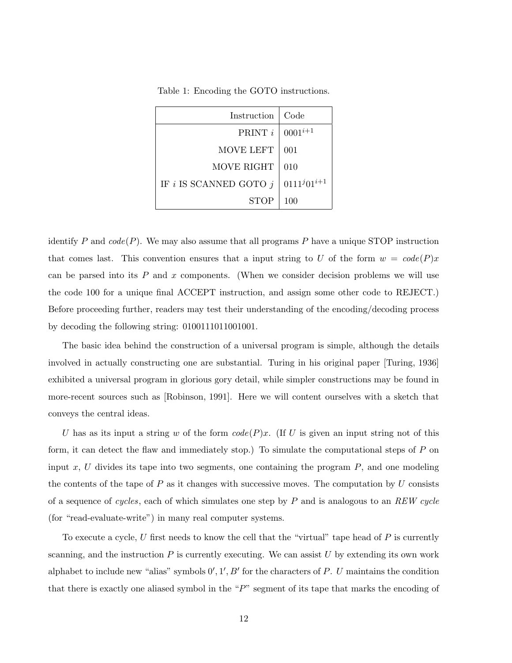Table 1: Encoding the GOTO instructions.

| Instruction                | Code               |
|----------------------------|--------------------|
| PRINT i                    | $0001^{i+1}$       |
| MOVE LEFT                  | 001                |
| MOVE RIGHT                 | 010                |
| IF $i$ IS SCANNED GOTO $j$ | $0111^{j}01^{i+1}$ |
| <b>STOP</b>                | 100                |

identify P and  $code(P)$ . We may also assume that all programs P have a unique STOP instruction that comes last. This convention ensures that a input string to U of the form  $w = code(P)x$ can be parsed into its  $P$  and  $x$  components. (When we consider decision problems we will use the code 100 for a unique final ACCEPT instruction, and assign some other code to REJECT.) Before proceeding further, readers may test their understanding of the encoding/decoding process by decoding the following string: 0100111011001001.

The basic idea behind the construction of a universal program is simple, although the details involved in actually constructing one are substantial. Turing in his original paper [Turing, 1936] exhibited a universal program in glorious gory detail, while simpler constructions may be found in more-recent sources such as [Robinson, 1991]. Here we will content ourselves with a sketch that conveys the central ideas.

U has as its input a string w of the form  $code(P)x$ . (If U is given an input string not of this form, it can detect the flaw and immediately stop.) To simulate the computational steps of P on input  $x, U$  divides its tape into two segments, one containing the program  $P$ , and one modeling the contents of the tape of  $P$  as it changes with successive moves. The computation by  $U$  consists of a sequence of cycles, each of which simulates one step by  $P$  and is analogous to an REW cycle (for "read-evaluate-write") in many real computer systems.

To execute a cycle,  $U$  first needs to know the cell that the "virtual" tape head of  $P$  is currently scanning, and the instruction  $P$  is currently executing. We can assist  $U$  by extending its own work alphabet to include new "alias" symbols  $0', 1', B'$  for the characters of P. U maintains the condition that there is exactly one aliased symbol in the " $P$ " segment of its tape that marks the encoding of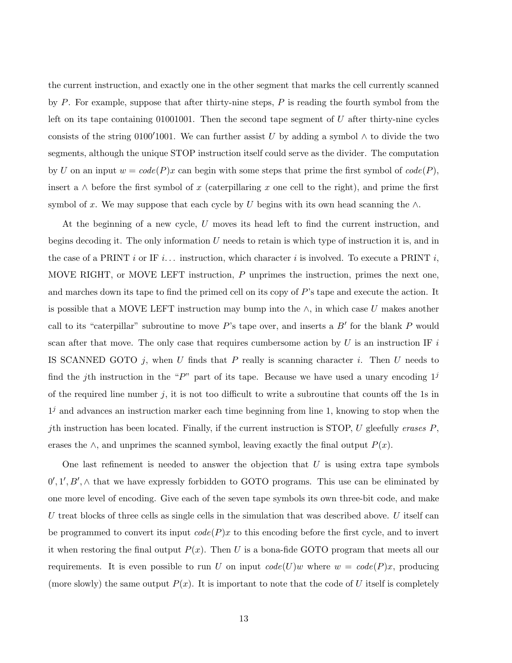the current instruction, and exactly one in the other segment that marks the cell currently scanned by  $P$ . For example, suppose that after thirty-nine steps,  $P$  is reading the fourth symbol from the left on its tape containing  $01001001$ . Then the second tape segment of U after thirty-nine cycles consists of the string 0100'1001. We can further assist U by adding a symbol  $\wedge$  to divide the two segments, although the unique STOP instruction itself could serve as the divider. The computation by U on an input  $w = code(P)x$  can begin with some steps that prime the first symbol of  $code(P)$ , insert a  $\wedge$  before the first symbol of x (caterpillaring x one cell to the right), and prime the first symbol of x. We may suppose that each cycle by U begins with its own head scanning the  $\wedge$ .

At the beginning of a new cycle, U moves its head left to find the current instruction, and begins decoding it. The only information  $U$  needs to retain is which type of instruction it is, and in the case of a PRINT i or IF i... instruction, which character i is involved. To execute a PRINT i, MOVE RIGHT, or MOVE LEFT instruction,  $P$  unprimes the instruction, primes the next one, and marches down its tape to find the primed cell on its copy of  $P$ 's tape and execute the action. It is possible that a MOVE LEFT instruction may bump into the  $\wedge$ , in which case U makes another call to its "caterpillar" subroutine to move P's tape over, and inserts a  $B'$  for the blank P would scan after that move. The only case that requires cumbersome action by  $U$  is an instruction IF  $i$ IS SCANNED GOTO  $j$ , when U finds that P really is scanning character i. Then U needs to find the jth instruction in the "P" part of its tape. Because we have used a unary encoding  $1<sup>j</sup>$ of the required line number j, it is not too difficult to write a subroutine that counts off the 1s in  $1<sup>j</sup>$  and advances an instruction marker each time beginning from line 1, knowing to stop when the jth instruction has been located. Finally, if the current instruction is STOP, U gleefully erases  $P$ , erases the  $\wedge$ , and unprimes the scanned symbol, leaving exactly the final output  $P(x)$ .

One last refinement is needed to answer the objection that  $U$  is using extra tape symbols  $0', 1', B', \wedge$  that we have expressly forbidden to GOTO programs. This use can be eliminated by one more level of encoding. Give each of the seven tape symbols its own three-bit code, and make U treat blocks of three cells as single cells in the simulation that was described above. U itself can be programmed to convert its input  $code(P)x$  to this encoding before the first cycle, and to invert it when restoring the final output  $P(x)$ . Then U is a bona-fide GOTO program that meets all our requirements. It is even possible to run U on input  $code(U)w$  where  $w = code(P)x$ , producing (more slowly) the same output  $P(x)$ . It is important to note that the code of U itself is completely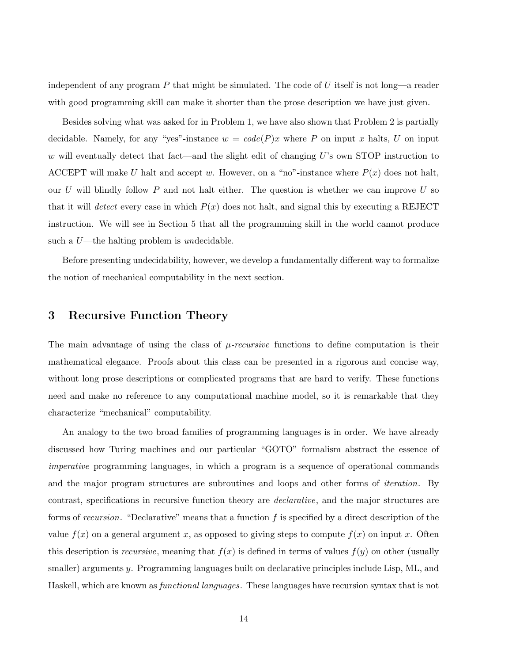independent of any program P that might be simulated. The code of U itself is not long—a reader with good programming skill can make it shorter than the prose description we have just given.

Besides solving what was asked for in Problem 1, we have also shown that Problem 2 is partially decidable. Namely, for any "yes"-instance  $w = code(P)x$  where P on input x halts, U on input w will eventually detect that fact—and the slight edit of changing  $U$ 's own STOP instruction to ACCEPT will make U halt and accept w. However, on a "no"-instance where  $P(x)$  does not halt, our U will blindly follow P and not halt either. The question is whether we can improve U so that it will detect every case in which  $P(x)$  does not halt, and signal this by executing a REJECT instruction. We will see in Section 5 that all the programming skill in the world cannot produce such a U—the halting problem is undecidable.

Before presenting undecidability, however, we develop a fundamentally different way to formalize the notion of mechanical computability in the next section.

## 3 Recursive Function Theory

The main advantage of using the class of  $\mu$ -recursive functions to define computation is their mathematical elegance. Proofs about this class can be presented in a rigorous and concise way, without long prose descriptions or complicated programs that are hard to verify. These functions need and make no reference to any computational machine model, so it is remarkable that they characterize "mechanical" computability.

An analogy to the two broad families of programming languages is in order. We have already discussed how Turing machines and our particular "GOTO" formalism abstract the essence of imperative programming languages, in which a program is a sequence of operational commands and the major program structures are subroutines and loops and other forms of iteration. By contrast, specifications in recursive function theory are declarative, and the major structures are forms of recursion. "Declarative" means that a function  $f$  is specified by a direct description of the value  $f(x)$  on a general argument x, as opposed to giving steps to compute  $f(x)$  on input x. Often this description is *recursive*, meaning that  $f(x)$  is defined in terms of values  $f(y)$  on other (usually smaller) arguments y. Programming languages built on declarative principles include Lisp, ML, and Haskell, which are known as functional languages. These languages have recursion syntax that is not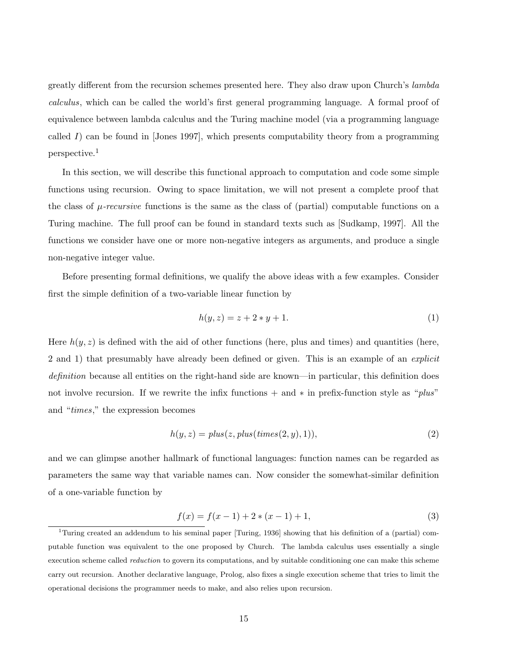greatly different from the recursion schemes presented here. They also draw upon Church's lambda calculus, which can be called the world's first general programming language. A formal proof of equivalence between lambda calculus and the Turing machine model (via a programming language called  $I$ ) can be found in [Jones 1997], which presents computability theory from a programming perspective.<sup>1</sup>

In this section, we will describe this functional approach to computation and code some simple functions using recursion. Owing to space limitation, we will not present a complete proof that the class of  $\mu$ -recursive functions is the same as the class of (partial) computable functions on a Turing machine. The full proof can be found in standard texts such as [Sudkamp, 1997]. All the functions we consider have one or more non-negative integers as arguments, and produce a single non-negative integer value.

Before presenting formal definitions, we qualify the above ideas with a few examples. Consider first the simple definition of a two-variable linear function by

$$
h(y, z) = z + 2 * y + 1.
$$
 (1)

Here  $h(y, z)$  is defined with the aid of other functions (here, plus and times) and quantities (here, 2 and 1) that presumably have already been defined or given. This is an example of an *explicit* definition because all entities on the right-hand side are known—in particular, this definition does not involve recursion. If we rewrite the infix functions  $+$  and  $*$  in prefix-function style as "*plus*" and "times," the expression becomes

$$
h(y, z) = plus(z, plus(times(2, y), 1)),
$$
\n<sup>(2)</sup>

and we can glimpse another hallmark of functional languages: function names can be regarded as parameters the same way that variable names can. Now consider the somewhat-similar definition of a one-variable function by

$$
f(x) = f(x - 1) + 2 * (x - 1) + 1,
$$
\n(3)

<sup>&</sup>lt;sup>1</sup>Turing created an addendum to his seminal paper [Turing, 1936] showing that his definition of a (partial) computable function was equivalent to the one proposed by Church. The lambda calculus uses essentially a single execution scheme called *reduction* to govern its computations, and by suitable conditioning one can make this scheme carry out recursion. Another declarative language, Prolog, also fixes a single execution scheme that tries to limit the operational decisions the programmer needs to make, and also relies upon recursion.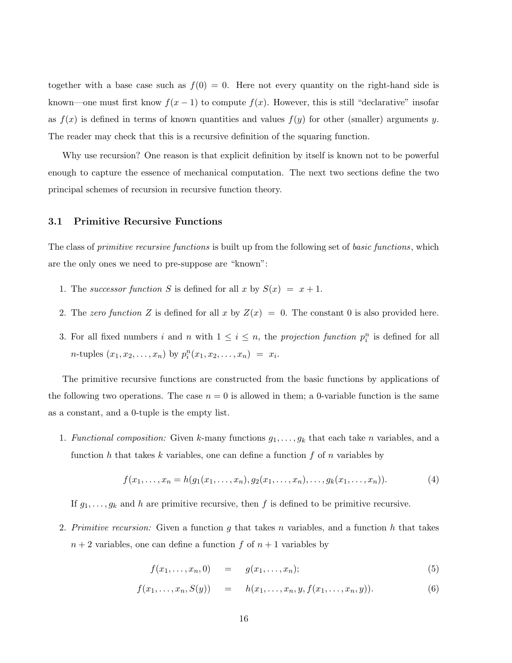together with a base case such as  $f(0) = 0$ . Here not every quantity on the right-hand side is known—one must first know  $f(x-1)$  to compute  $f(x)$ . However, this is still "declarative" insofar as  $f(x)$  is defined in terms of known quantities and values  $f(y)$  for other (smaller) arguments y. The reader may check that this is a recursive definition of the squaring function.

Why use recursion? One reason is that explicit definition by itself is known not to be powerful enough to capture the essence of mechanical computation. The next two sections define the two principal schemes of recursion in recursive function theory.

#### 3.1 Primitive Recursive Functions

The class of *primitive recursive functions* is built up from the following set of *basic functions*, which are the only ones we need to pre-suppose are "known":

- 1. The successor function S is defined for all x by  $S(x) = x + 1$ .
- 2. The zero function Z is defined for all x by  $Z(x) = 0$ . The constant 0 is also provided here.
- 3. For all fixed numbers i and n with  $1 \leq i \leq n$ , the projection function  $p_i^n$  is defined for all *n*-tuples  $(x_1, x_2, ..., x_n)$  by  $p_i^n(x_1, x_2, ..., x_n) = x_i$ .

The primitive recursive functions are constructed from the basic functions by applications of the following two operations. The case  $n = 0$  is allowed in them; a 0-variable function is the same as a constant, and a 0-tuple is the empty list.

1. Functional composition: Given k-many functions  $g_1, \ldots, g_k$  that each take n variables, and a function h that takes k variables, one can define a function  $f$  of  $n$  variables by

$$
f(x_1, \ldots, x_n = h(g_1(x_1, \ldots, x_n), g_2(x_1, \ldots, x_n), \ldots, g_k(x_1, \ldots, x_n)).
$$
\n(4)

If  $g_1, \ldots, g_k$  and h are primitive recursive, then f is defined to be primitive recursive.

2. Primitive recursion: Given a function g that takes n variables, and a function h that takes  $n + 2$  variables, one can define a function f of  $n + 1$  variables by

$$
f(x_1, ..., x_n, 0) = g(x_1, ..., x_n); \t\t(5)
$$

$$
f(x_1,...,x_n,S(y)) = h(x_1,...,x_n,y,f(x_1,...,x_n,y)).
$$
\n(6)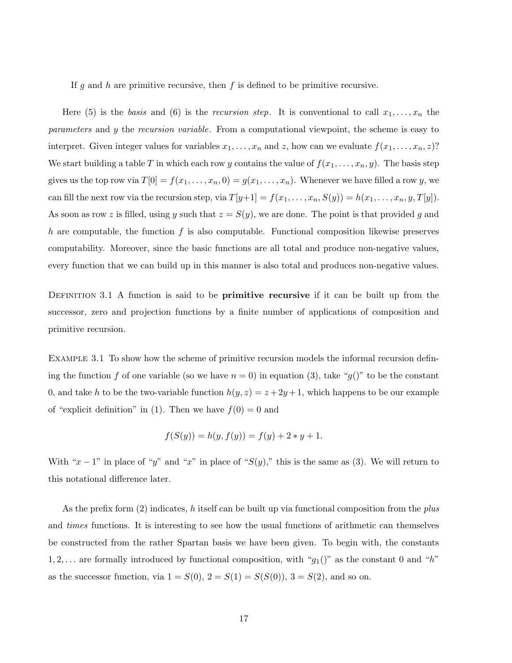If g and h are primitive recursive, then f is defined to be primitive recursive.

Here (5) is the basis and (6) is the recursion step. It is conventional to call  $x_1, \ldots, x_n$  the parameters and y the recursion variable. From a computational viewpoint, the scheme is easy to interpret. Given integer values for variables  $x_1, \ldots, x_n$  and z, how can we evaluate  $f(x_1, \ldots, x_n, z)$ ? We start building a table T in which each row y contains the value of  $f(x_1, \ldots, x_n, y)$ . The basis step gives us the top row via  $T[0] = f(x_1, \ldots, x_n, 0) = g(x_1, \ldots, x_n)$ . Whenever we have filled a row y, we can fill the next row via the recursion step, via  $T[y+1] = f(x_1, \ldots, x_n, S(y)) = h(x_1, \ldots, x_n, y, T[y])$ . As soon as row z is filled, using y such that  $z = S(y)$ , we are done. The point is that provided g and h are computable, the function f is also computable. Functional composition likewise preserves computability. Moreover, since the basic functions are all total and produce non-negative values, every function that we can build up in this manner is also total and produces non-negative values.

DEFINITION 3.1 A function is said to be **primitive recursive** if it can be built up from the successor, zero and projection functions by a finite number of applications of composition and primitive recursion.

Example 3.1 To show how the scheme of primitive recursion models the informal recursion defining the function f of one variable (so we have  $n = 0$ ) in equation (3), take "g()" to be the constant 0, and take h to be the two-variable function  $h(y, z) = z + 2y + 1$ , which happens to be our example of "explicit definition" in (1). Then we have  $f(0) = 0$  and

$$
f(S(y)) = h(y, f(y)) = f(y) + 2*y + 1.
$$

With "x – 1" in place of "y" and "x" in place of "S(y)," this is the same as (3). We will return to this notational difference later.

As the prefix form  $(2)$  indicates, h itself can be built up via functional composition from the plus and times functions. It is interesting to see how the usual functions of arithmetic can themselves be constructed from the rather Spartan basis we have been given. To begin with, the constants 1, 2, ... are formally introduced by functional composition, with " $g_1()$ " as the constant 0 and "h" as the successor function, via  $1 = S(0)$ ,  $2 = S(1) = S(S(0))$ ,  $3 = S(2)$ , and so on.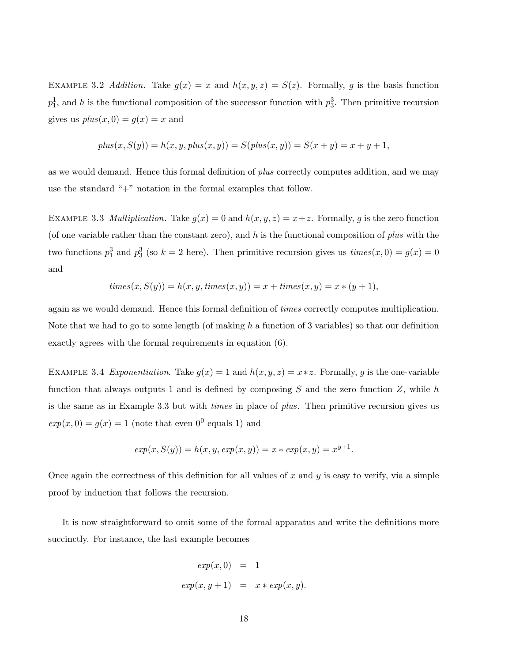EXAMPLE 3.2 Addition. Take  $g(x) = x$  and  $h(x, y, z) = S(z)$ . Formally, g is the basis function  $p_1^1$ , and h is the functional composition of the successor function with  $p_3^3$ . Then primitive recursion gives us  $plus(x, 0) = g(x) = x$  and

$$
plus(x, S(y)) = h(x, y, plus(x, y)) = S(plus(x, y)) = S(x + y) = x + y + 1,
$$

as we would demand. Hence this formal definition of *plus* correctly computes addition, and we may use the standard "+" notation in the formal examples that follow.

EXAMPLE 3.3 Multiplication. Take  $g(x) = 0$  and  $h(x, y, z) = x + z$ . Formally, g is the zero function (of one variable rather than the constant zero), and  $h$  is the functional composition of plus with the two functions  $p_1^3$  and  $p_3^3$  (so  $k = 2$  here). Then primitive recursion gives us  $times(x, 0) = g(x) = 0$ and

$$
times(x, S(y)) = h(x, y, times(x, y)) = x + times(x, y) = x * (y + 1),
$$

again as we would demand. Hence this formal definition of times correctly computes multiplication. Note that we had to go to some length (of making  $h$  a function of 3 variables) so that our definition exactly agrees with the formal requirements in equation (6).

EXAMPLE 3.4 Exponentiation. Take  $g(x) = 1$  and  $h(x, y, z) = x * z$ . Formally, g is the one-variable function that always outputs 1 and is defined by composing  $S$  and the zero function  $Z$ , while h is the same as in Example 3.3 but with times in place of plus. Then primitive recursion gives us  $exp(x, 0) = g(x) = 1$  (note that even 0<sup>0</sup> equals 1) and

$$
exp(x, S(y)) = h(x, y, exp(x, y)) = x * exp(x, y) = x^{y+1}.
$$

Once again the correctness of this definition for all values of x and y is easy to verify, via a simple proof by induction that follows the recursion.

It is now straightforward to omit some of the formal apparatus and write the definitions more succinctly. For instance, the last example becomes

$$
exp(x, 0) = 1
$$
  

$$
exp(x, y+1) = x * exp(x, y).
$$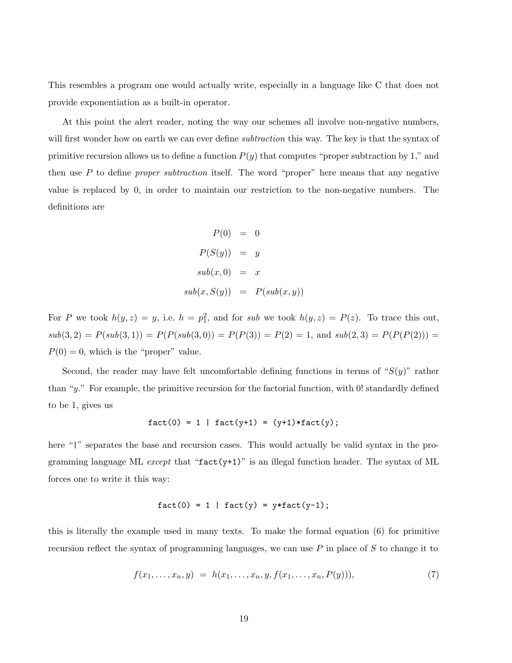This resembles a program one would actually write, especially in a language like C that does not provide exponentiation as a built-in operator.

At this point the alert reader, noting the way our schemes all involve non-negative numbers, will first wonder how on earth we can ever define *subtraction* this way. The key is that the syntax of primitive recursion allows us to define a function  $P(y)$  that computes "proper subtraction by 1," and then use  $P$  to define *proper subtraction* itself. The word "proper" here means that any negative value is replaced by 0, in order to maintain our restriction to the non-negative numbers. The definitions are

$$
P(0) = 0
$$
  
\n
$$
P(S(y)) = y
$$
  
\n
$$
sub(x, 0) = x
$$
  
\n
$$
sub(x, S(y)) = P(sub(x, y))
$$

For P we took  $h(y, z) = y$ , i.e.  $h = p_1^2$ , and for sub we took  $h(y, z) = P(z)$ . To trace this out,  $sub(3,2) = P(sub(3,1)) = P(P(sub(3,0)) = P(P(3)) = P(2) = 1$ , and  $sub(2,3) = P(P(P(2))) =$  $P(0) = 0$ , which is the "proper" value.

Second, the reader may have felt uncomfortable defining functions in terms of " $S(y)$ " rather than "y." For example, the primitive recursion for the factorial function, with  $0!$  standardly defined to be 1, gives us

$$
fact(0) = 1 | fact(y+1) = (y+1) * fact(y);
$$

here "|" separates the base and recursion cases. This would actually be valid syntax in the programming language ML  $except$  that "fact(y+1)" is an illegal function header. The syntax of ML forces one to write it this way:

$$
fact(0) = 1 | fact(y) = y*fact(y-1);
$$

this is literally the example used in many texts. To make the formal equation (6) for primitive recursion reflect the syntax of programming languages, we can use  $P$  in place of  $S$  to change it to

$$
f(x_1, \ldots, x_n, y) = h(x_1, \ldots, x_n, y, f(x_1, \ldots, x_n, P(y))), \tag{7}
$$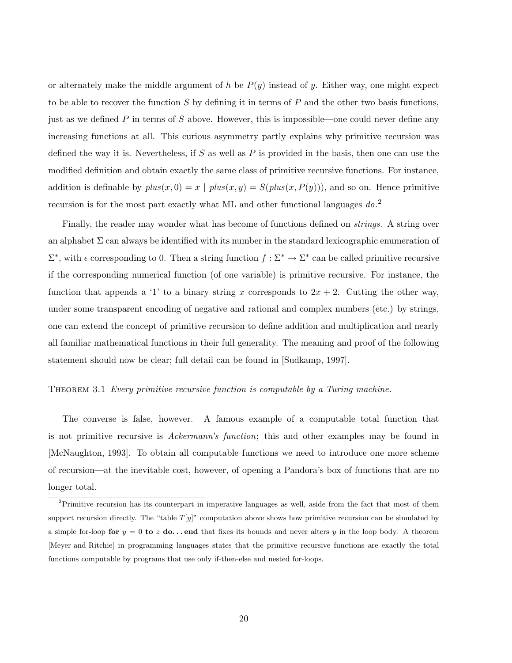or alternately make the middle argument of h be  $P(y)$  instead of y. Either way, one might expect to be able to recover the function  $S$  by defining it in terms of  $P$  and the other two basis functions, just as we defined  $P$  in terms of  $S$  above. However, this is impossible—one could never define any increasing functions at all. This curious asymmetry partly explains why primitive recursion was defined the way it is. Nevertheless, if S as well as P is provided in the basis, then one can use the modified definition and obtain exactly the same class of primitive recursive functions. For instance, addition is definable by  $plus(x, 0) = x | plus(x, y) = S(plus(x, P(y))),$  and so on. Hence primitive recursion is for the most part exactly what ML and other functional languages  $do^2$ .

Finally, the reader may wonder what has become of functions defined on *strings*. A string over an alphabet  $\Sigma$  can always be identified with its number in the standard lexicographic enumeration of  $\Sigma^*$ , with  $\epsilon$  corresponding to 0. Then a string function  $f : \Sigma^* \to \Sigma^*$  can be called primitive recursive if the corresponding numerical function (of one variable) is primitive recursive. For instance, the function that appends a '1' to a binary string x corresponds to  $2x + 2$ . Cutting the other way, under some transparent encoding of negative and rational and complex numbers (etc.) by strings, one can extend the concept of primitive recursion to define addition and multiplication and nearly all familiar mathematical functions in their full generality. The meaning and proof of the following statement should now be clear; full detail can be found in [Sudkamp, 1997].

#### Theorem 3.1 Every primitive recursive function is computable by a Turing machine.

The converse is false, however. A famous example of a computable total function that is not primitive recursive is Ackermann's function; this and other examples may be found in [McNaughton, 1993]. To obtain all computable functions we need to introduce one more scheme of recursion—at the inevitable cost, however, of opening a Pandora's box of functions that are no longer total.

<sup>&</sup>lt;sup>2</sup>Primitive recursion has its counterpart in imperative languages as well, aside from the fact that most of them support recursion directly. The "table  $T[y]$ " computation above shows how primitive recursion can be simulated by a simple for-loop for  $y = 0$  to z do... end that fixes its bounds and never alters y in the loop body. A theorem [Meyer and Ritchie] in programming languages states that the primitive recursive functions are exactly the total functions computable by programs that use only if-then-else and nested for-loops.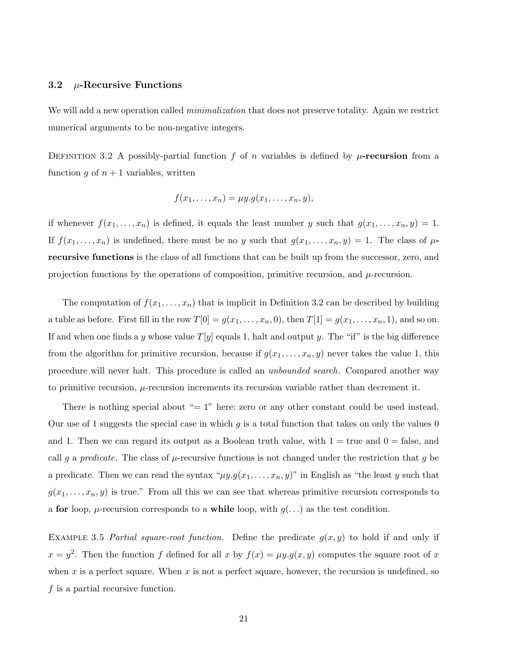#### 3.2  $\mu$ -Recursive Functions

We will add a new operation called *minimalization* that does not preserve totality. Again we restrict numerical arguments to be non-negative integers.

DEFINITION 3.2 A possibly-partial function f of n variables is defined by  $\mu$ -recursion from a function g of  $n+1$  variables, written

$$
f(x_1,\ldots,x_n)=\mu y. g(x_1,\ldots,x_n,y),
$$

if whenever  $f(x_1, \ldots, x_n)$  is defined, it equals the least number y such that  $g(x_1, \ldots, x_n, y) = 1$ . If  $f(x_1, \ldots, x_n)$  is undefined, there must be no y such that  $g(x_1, \ldots, x_n, y) = 1$ . The class of  $\mu$ recursive functions is the class of all functions that can be built up from the successor, zero, and projection functions by the operations of composition, primitive recursion, and  $\mu$ -recursion.

The computation of  $f(x_1, \ldots, x_n)$  that is implicit in Definition 3.2 can be described by building a table as before. First fill in the row  $T[0] = g(x_1, \ldots, x_n, 0)$ , then  $T[1] = g(x_1, \ldots, x_n, 1)$ , and so on. If and when one finds a y whose value  $T[y]$  equals 1, halt and output y. The "if" is the big difference from the algorithm for primitive recursion, because if  $g(x_1, \ldots, x_n, y)$  never takes the value 1, this procedure will never halt. This procedure is called an unbounded search. Compared another way to primitive recursion,  $\mu$ -recursion increments its recursion variable rather than decrement it.

There is nothing special about " $= 1$ " here: zero or any other constant could be used instead. Our use of 1 suggests the special case in which  $g$  is a total function that takes on only the values 0 and 1. Then we can regard its output as a Boolean truth value, with  $1 =$  true and  $0 =$  false, and call g a predicate. The class of  $\mu$ -recursive functions is not changed under the restriction that g be a predicate. Then we can read the syntax " $\mu y \cdot g(x_1, \ldots, x_n, y)$ " in English as "the least y such that  $g(x_1, \ldots, x_n, y)$  is true." From all this we can see that whereas primitive recursion corresponds to a for loop,  $\mu$ -recursion corresponds to a while loop, with  $g(\ldots)$  as the test condition.

EXAMPLE 3.5 Partial square-root function. Define the predicate  $g(x, y)$  to hold if and only if  $x = y^2$ . Then the function f defined for all x by  $f(x) = \mu y \cdot g(x, y)$  computes the square root of x when x is a perfect square. When x is not a perfect square, however, the recursion is undefined, so  $f$  is a partial recursive function.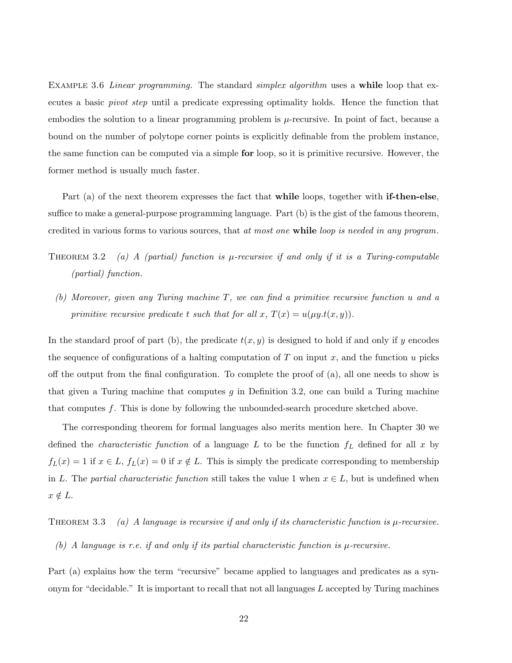EXAMPLE 3.6 Linear programming. The standard simplex algorithm uses a while loop that executes a basic *pivot step* until a predicate expressing optimality holds. Hence the function that embodies the solution to a linear programming problem is  $\mu$ -recursive. In point of fact, because a bound on the number of polytope corner points is explicitly definable from the problem instance, the same function can be computed via a simple for loop, so it is primitive recursive. However, the former method is usually much faster.

Part (a) of the next theorem expresses the fact that while loops, together with **if-then-else**, suffice to make a general-purpose programming language. Part (b) is the gist of the famous theorem, credited in various forms to various sources, that at most one while loop is needed in any program.

- THEOREM 3.2 (a) A (partial) function is  $\mu$ -recursive if and only if it is a Turing-computable (partial) function.
	- (b) Moreover, given any Turing machine T, we can find a primitive recursive function u and a primitive recursive predicate t such that for all x,  $T(x) = u(\mu y.t(x, y))$ .

In the standard proof of part (b), the predicate  $t(x, y)$  is designed to hold if and only if y encodes the sequence of configurations of a halting computation of  $T$  on input  $x$ , and the function  $u$  picks off the output from the final configuration. To complete the proof of (a), all one needs to show is that given a Turing machine that computes  $g$  in Definition 3.2, one can build a Turing machine that computes f. This is done by following the unbounded-search procedure sketched above.

The corresponding theorem for formal languages also merits mention here. In Chapter 30 we defined the *characteristic function* of a language L to be the function  $f_L$  defined for all x by  $f_L(x) = 1$  if  $x \in L$ ,  $f_L(x) = 0$  if  $x \notin L$ . This is simply the predicate corresponding to membership in L. The partial characteristic function still takes the value 1 when  $x \in L$ , but is undefined when  $x \notin L$ .

THEOREM 3.3 (a) A language is recursive if and only if its characteristic function is  $\mu$ -recursive.

(b) A language is r.e. if and only if its partial characteristic function is  $\mu$ -recursive.

Part (a) explains how the term "recursive" became applied to languages and predicates as a synonym for "decidable." It is important to recall that not all languages  $L$  accepted by Turing machines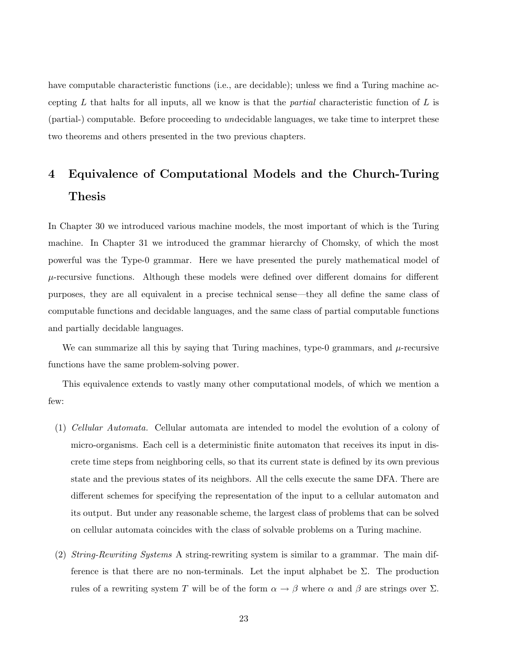have computable characteristic functions (i.e., are decidable); unless we find a Turing machine accepting L that halts for all inputs, all we know is that the *partial* characteristic function of  $L$  is (partial-) computable. Before proceeding to undecidable languages, we take time to interpret these two theorems and others presented in the two previous chapters.

# 4 Equivalence of Computational Models and the Church-Turing Thesis

In Chapter 30 we introduced various machine models, the most important of which is the Turing machine. In Chapter 31 we introduced the grammar hierarchy of Chomsky, of which the most powerful was the Type-0 grammar. Here we have presented the purely mathematical model of  $\mu$ -recursive functions. Although these models were defined over different domains for different purposes, they are all equivalent in a precise technical sense—they all define the same class of computable functions and decidable languages, and the same class of partial computable functions and partially decidable languages.

We can summarize all this by saying that Turing machines, type-0 grammars, and  $\mu$ -recursive functions have the same problem-solving power.

This equivalence extends to vastly many other computational models, of which we mention a few:

- (1) Cellular Automata. Cellular automata are intended to model the evolution of a colony of micro-organisms. Each cell is a deterministic finite automaton that receives its input in discrete time steps from neighboring cells, so that its current state is defined by its own previous state and the previous states of its neighbors. All the cells execute the same DFA. There are different schemes for specifying the representation of the input to a cellular automaton and its output. But under any reasonable scheme, the largest class of problems that can be solved on cellular automata coincides with the class of solvable problems on a Turing machine.
- (2) String-Rewriting Systems A string-rewriting system is similar to a grammar. The main difference is that there are no non-terminals. Let the input alphabet be  $\Sigma$ . The production rules of a rewriting system T will be of the form  $\alpha \to \beta$  where  $\alpha$  and  $\beta$  are strings over  $\Sigma$ .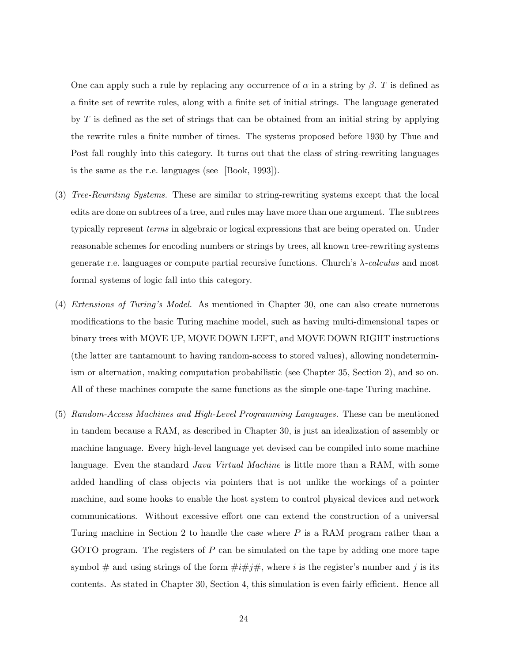One can apply such a rule by replacing any occurrence of  $\alpha$  in a string by  $\beta$ . T is defined as a finite set of rewrite rules, along with a finite set of initial strings. The language generated by  $T$  is defined as the set of strings that can be obtained from an initial string by applying the rewrite rules a finite number of times. The systems proposed before 1930 by Thue and Post fall roughly into this category. It turns out that the class of string-rewriting languages is the same as the r.e. languages (see [Book, 1993]).

- (3) Tree-Rewriting Systems. These are similar to string-rewriting systems except that the local edits are done on subtrees of a tree, and rules may have more than one argument. The subtrees typically represent terms in algebraic or logical expressions that are being operated on. Under reasonable schemes for encoding numbers or strings by trees, all known tree-rewriting systems generate r.e. languages or compute partial recursive functions. Church's λ-calculus and most formal systems of logic fall into this category.
- (4) Extensions of Turing's Model. As mentioned in Chapter 30, one can also create numerous modifications to the basic Turing machine model, such as having multi-dimensional tapes or binary trees with MOVE UP, MOVE DOWN LEFT, and MOVE DOWN RIGHT instructions (the latter are tantamount to having random-access to stored values), allowing nondeterminism or alternation, making computation probabilistic (see Chapter 35, Section 2), and so on. All of these machines compute the same functions as the simple one-tape Turing machine.
- (5) Random-Access Machines and High-Level Programming Languages. These can be mentioned in tandem because a RAM, as described in Chapter 30, is just an idealization of assembly or machine language. Every high-level language yet devised can be compiled into some machine language. Even the standard *Java Virtual Machine* is little more than a RAM, with some added handling of class objects via pointers that is not unlike the workings of a pointer machine, and some hooks to enable the host system to control physical devices and network communications. Without excessive effort one can extend the construction of a universal Turing machine in Section 2 to handle the case where  $P$  is a RAM program rather than a GOTO program. The registers of  $P$  can be simulated on the tape by adding one more tape symbol # and using strings of the form  $\#i\#j\#$ , where i is the register's number and j is its contents. As stated in Chapter 30, Section 4, this simulation is even fairly efficient. Hence all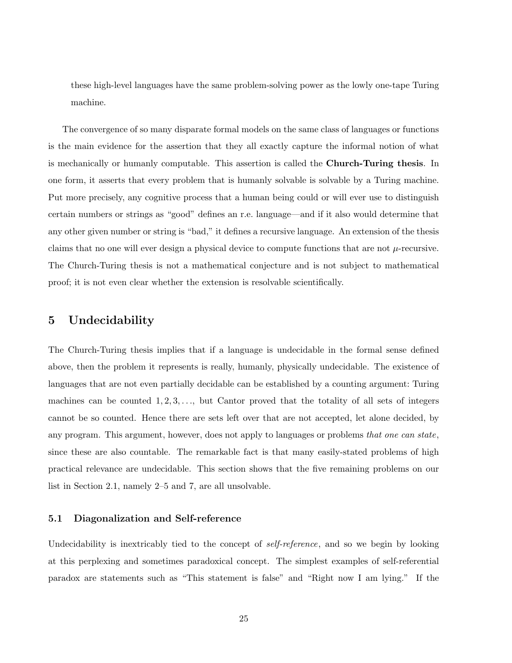these high-level languages have the same problem-solving power as the lowly one-tape Turing machine.

The convergence of so many disparate formal models on the same class of languages or functions is the main evidence for the assertion that they all exactly capture the informal notion of what is mechanically or humanly computable. This assertion is called the Church-Turing thesis. In one form, it asserts that every problem that is humanly solvable is solvable by a Turing machine. Put more precisely, any cognitive process that a human being could or will ever use to distinguish certain numbers or strings as "good" defines an r.e. language—and if it also would determine that any other given number or string is "bad," it defines a recursive language. An extension of the thesis claims that no one will ever design a physical device to compute functions that are not  $\mu$ -recursive. The Church-Turing thesis is not a mathematical conjecture and is not subject to mathematical proof; it is not even clear whether the extension is resolvable scientifically.

## 5 Undecidability

The Church-Turing thesis implies that if a language is undecidable in the formal sense defined above, then the problem it represents is really, humanly, physically undecidable. The existence of languages that are not even partially decidable can be established by a counting argument: Turing machines can be counted  $1, 2, 3, \ldots$ , but Cantor proved that the totality of all sets of integers cannot be so counted. Hence there are sets left over that are not accepted, let alone decided, by any program. This argument, however, does not apply to languages or problems that one can state, since these are also countable. The remarkable fact is that many easily-stated problems of high practical relevance are undecidable. This section shows that the five remaining problems on our list in Section 2.1, namely 2–5 and 7, are all unsolvable.

#### 5.1 Diagonalization and Self-reference

Undecidability is inextricably tied to the concept of *self-reference*, and so we begin by looking at this perplexing and sometimes paradoxical concept. The simplest examples of self-referential paradox are statements such as "This statement is false" and "Right now I am lying." If the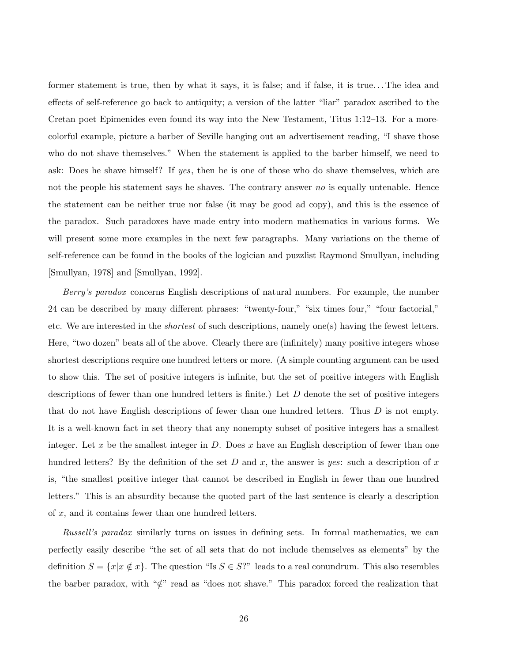former statement is true, then by what it says, it is false; and if false, it is true. . . The idea and effects of self-reference go back to antiquity; a version of the latter "liar" paradox ascribed to the Cretan poet Epimenides even found its way into the New Testament, Titus 1:12–13. For a morecolorful example, picture a barber of Seville hanging out an advertisement reading, "I shave those who do not shave themselves." When the statement is applied to the barber himself, we need to ask: Does he shave himself? If yes, then he is one of those who do shave themselves, which are not the people his statement says he shaves. The contrary answer no is equally untenable. Hence the statement can be neither true nor false (it may be good ad copy), and this is the essence of the paradox. Such paradoxes have made entry into modern mathematics in various forms. We will present some more examples in the next few paragraphs. Many variations on the theme of self-reference can be found in the books of the logician and puzzlist Raymond Smullyan, including [Smullyan, 1978] and [Smullyan, 1992].

Berry's paradox concerns English descriptions of natural numbers. For example, the number 24 can be described by many different phrases: "twenty-four," "six times four," "four factorial," etc. We are interested in the shortest of such descriptions, namely one(s) having the fewest letters. Here, "two dozen" beats all of the above. Clearly there are (infinitely) many positive integers whose shortest descriptions require one hundred letters or more. (A simple counting argument can be used to show this. The set of positive integers is infinite, but the set of positive integers with English descriptions of fewer than one hundred letters is finite.) Let D denote the set of positive integers that do not have English descriptions of fewer than one hundred letters. Thus  $D$  is not empty. It is a well-known fact in set theory that any nonempty subset of positive integers has a smallest integer. Let x be the smallest integer in  $D$ . Does x have an English description of fewer than one hundred letters? By the definition of the set D and x, the answer is yes: such a description of x is, "the smallest positive integer that cannot be described in English in fewer than one hundred letters." This is an absurdity because the quoted part of the last sentence is clearly a description of x, and it contains fewer than one hundred letters.

Russell's paradox similarly turns on issues in defining sets. In formal mathematics, we can perfectly easily describe "the set of all sets that do not include themselves as elements" by the definition  $S = \{x | x \notin x\}$ . The question "Is  $S \in S$ ?" leads to a real conundrum. This also resembles the barber paradox, with " $\notin$ " read as "does not shave." This paradox forced the realization that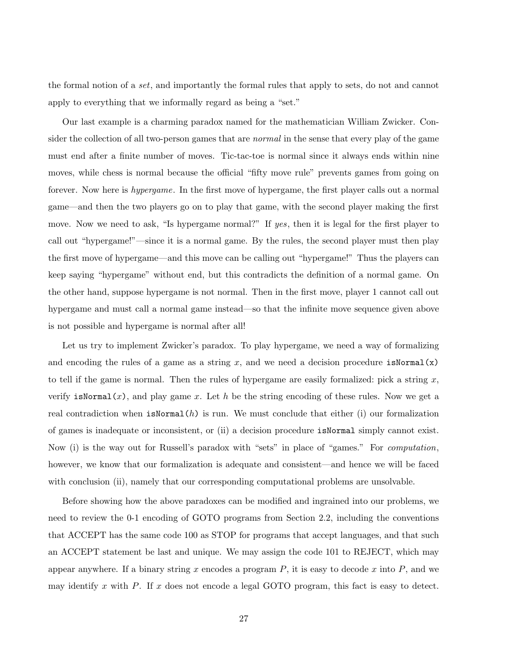the formal notion of a set, and importantly the formal rules that apply to sets, do not and cannot apply to everything that we informally regard as being a "set."

Our last example is a charming paradox named for the mathematician William Zwicker. Consider the collection of all two-person games that are *normal* in the sense that every play of the game must end after a finite number of moves. Tic-tac-toe is normal since it always ends within nine moves, while chess is normal because the official "fifty move rule" prevents games from going on forever. Now here is hypergame. In the first move of hypergame, the first player calls out a normal game—and then the two players go on to play that game, with the second player making the first move. Now we need to ask, "Is hypergame normal?" If yes, then it is legal for the first player to call out "hypergame!"—since it is a normal game. By the rules, the second player must then play the first move of hypergame—and this move can be calling out "hypergame!" Thus the players can keep saying "hypergame" without end, but this contradicts the definition of a normal game. On the other hand, suppose hypergame is not normal. Then in the first move, player 1 cannot call out hypergame and must call a normal game instead—so that the infinite move sequence given above is not possible and hypergame is normal after all!

Let us try to implement Zwicker's paradox. To play hypergame, we need a way of formalizing and encoding the rules of a game as a string x, and we need a decision procedure  $isNormal(x)$ to tell if the game is normal. Then the rules of hypergame are easily formalized: pick a string  $x$ , verify is Normal $(x)$ , and play game x. Let h be the string encoding of these rules. Now we get a real contradiction when  $\exists$  **s**Normal $(h)$  is run. We must conclude that either (i) our formalization of games is inadequate or inconsistent, or (ii) a decision procedure isNormal simply cannot exist. Now (i) is the way out for Russell's paradox with "sets" in place of "games." For computation, however, we know that our formalization is adequate and consistent—and hence we will be faced with conclusion (ii), namely that our corresponding computational problems are unsolvable.

Before showing how the above paradoxes can be modified and ingrained into our problems, we need to review the 0-1 encoding of GOTO programs from Section 2.2, including the conventions that ACCEPT has the same code 100 as STOP for programs that accept languages, and that such an ACCEPT statement be last and unique. We may assign the code 101 to REJECT, which may appear anywhere. If a binary string x encodes a program  $P$ , it is easy to decode x into  $P$ , and we may identify x with  $P$ . If x does not encode a legal GOTO program, this fact is easy to detect.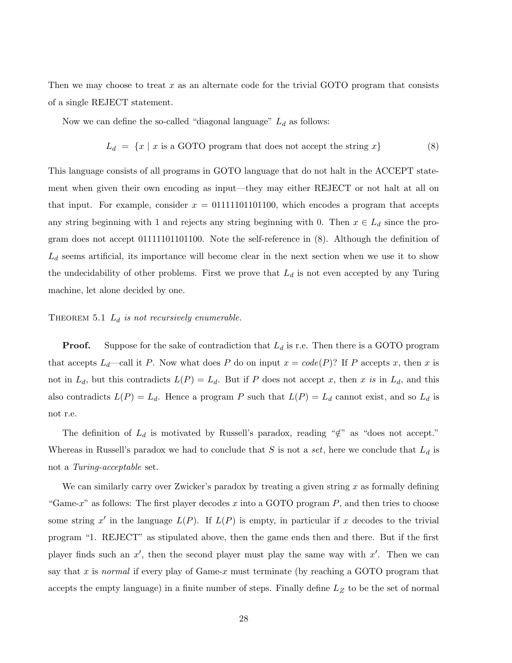Then we may choose to treat x as an alternate code for the trivial GOTO program that consists of a single REJECT statement.

Now we can define the so-called "diagonal language"  $L_d$  as follows:

$$
L_d = \{x \mid x \text{ is a GOTO program that does not accept the string } x\}
$$
 (8)

This language consists of all programs in GOTO language that do not halt in the ACCEPT statement when given their own encoding as input—they may either REJECT or not halt at all on that input. For example, consider  $x = 01111101101100$ , which encodes a program that accepts any string beginning with 1 and rejects any string beginning with 0. Then  $x \in L_d$  since the program does not accept 01111101101100. Note the self-reference in (8). Although the definition of  $L_d$  seems artificial, its importance will become clear in the next section when we use it to show the undecidability of other problems. First we prove that  $L_d$  is not even accepted by any Turing machine, let alone decided by one.

#### THEOREM 5.1  $L_d$  is not recursively enumerable.

**Proof.** Suppose for the sake of contradiction that  $L_d$  is r.e. Then there is a GOTO program that accepts  $L_d$ —call it P. Now what does P do on input  $x = code(P)$ ? If P accepts x, then x is not in  $L_d$ , but this contradicts  $L(P) = L_d$ . But if P does not accept x, then x is in  $L_d$ , and this also contradicts  $L(P) = L_d$ . Hence a program P such that  $L(P) = L_d$  cannot exist, and so  $L_d$  is not r.e.

The definition of  $L_d$  is motivated by Russell's paradox, reading " $\notin$ " as "does not accept." Whereas in Russell's paradox we had to conclude that  $S$  is not a set, here we conclude that  $L_d$  is not a Turing-acceptable set.

We can similarly carry over Zwicker's paradox by treating a given string  $x$  as formally defining "Game-x" as follows: The first player decodes x into a GOTO program  $P$ , and then tries to choose some string x' in the language  $L(P)$ . If  $L(P)$  is empty, in particular if x decodes to the trivial program "1. REJECT" as stipulated above, then the game ends then and there. But if the first player finds such an  $x'$ , then the second player must play the same way with  $x'$ . Then we can say that x is normal if every play of Game-x must terminate (by reaching a GOTO program that accepts the empty language) in a finite number of steps. Finally define  $L_Z$  to be the set of normal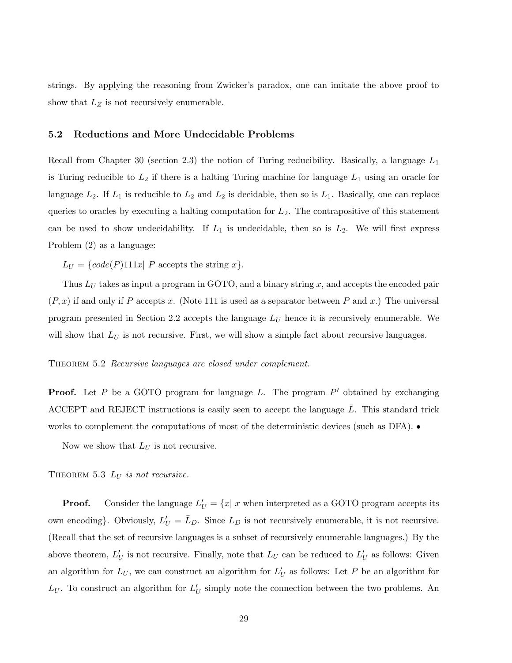strings. By applying the reasoning from Zwicker's paradox, one can imitate the above proof to show that  $L_Z$  is not recursively enumerable.

#### 5.2 Reductions and More Undecidable Problems

Recall from Chapter 30 (section 2.3) the notion of Turing reducibility. Basically, a language  $L_1$ is Turing reducible to  $L_2$  if there is a halting Turing machine for language  $L_1$  using an oracle for language  $L_2$ . If  $L_1$  is reducible to  $L_2$  and  $L_2$  is decidable, then so is  $L_1$ . Basically, one can replace queries to oracles by executing a halting computation for  $L_2$ . The contrapositive of this statement can be used to show undecidability. If  $L_1$  is undecidable, then so is  $L_2$ . We will first express Problem (2) as a language:

 $L_U = \{code(P)111x \mid P \text{ accepts the string } x\}.$ 

Thus  $L_U$  takes as input a program in GOTO, and a binary string x, and accepts the encoded pair  $(P, x)$  if and only if P accepts x. (Note 111 is used as a separator between P and x.) The universal program presented in Section 2.2 accepts the language  $L_U$  hence it is recursively enumerable. We will show that  $L_U$  is not recursive. First, we will show a simple fact about recursive languages.

#### THEOREM 5.2 Recursive languages are closed under complement.

**Proof.** Let P be a GOTO program for language L. The program  $P'$  obtained by exchanging ACCEPT and REJECT instructions is easily seen to accept the language  $\bar{L}$ . This standard trick works to complement the computations of most of the deterministic devices (such as DFA).

Now we show that  $L_U$  is not recursive.

THEOREM 5.3  $L_U$  is not recursive.

**Proof.** Consider the language  $L'_U = \{x | x \text{ when interpreted as a GOTO program accepts its } \}$ own encoding}. Obviously,  $L'_U = \bar{L}_D$ . Since  $L_D$  is not recursively enumerable, it is not recursive. (Recall that the set of recursive languages is a subset of recursively enumerable languages.) By the above theorem,  $L'_U$  is not recursive. Finally, note that  $L_U$  can be reduced to  $L'_U$  as follows: Given an algorithm for  $L_U$ , we can construct an algorithm for  $L'_U$  as follows: Let P be an algorithm for  $L_U$ . To construct an algorithm for  $L'_U$  simply note the connection between the two problems. An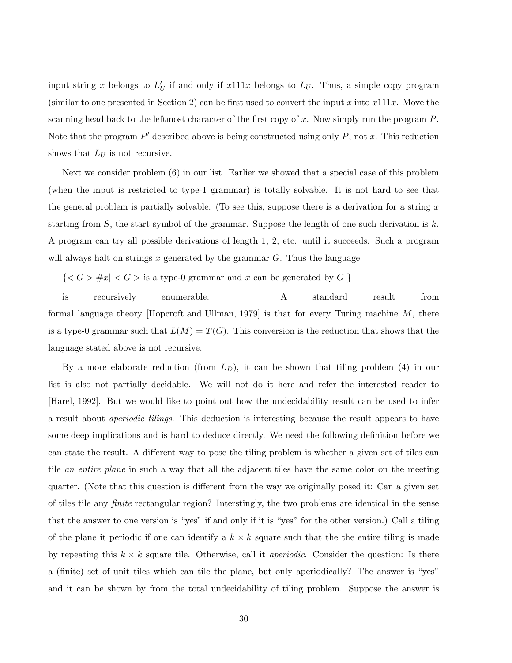input string x belongs to  $L'_U$  if and only if  $x111x$  belongs to  $L_U$ . Thus, a simple copy program (similar to one presented in Section 2) can be first used to convert the input x into  $x111x$ . Move the scanning head back to the leftmost character of the first copy of  $x$ . Now simply run the program  $P$ . Note that the program  $P'$  described above is being constructed using only  $P$ , not  $x$ . This reduction shows that  $L_U$  is not recursive.

Next we consider problem (6) in our list. Earlier we showed that a special case of this problem (when the input is restricted to type-1 grammar) is totally solvable. It is not hard to see that the general problem is partially solvable. (To see this, suppose there is a derivation for a string  $x$ starting from  $S$ , the start symbol of the grammar. Suppose the length of one such derivation is k. A program can try all possible derivations of length 1, 2, etc. until it succeeds. Such a program will always halt on strings  $x$  generated by the grammar  $G$ . Thus the language

 $\{< G > \#x | < G > \mbox{is a type-0 grammar and } x \mbox{ can be generated by } G$   $\}$ 

is recursively enumerable. A standard result from formal language theory [Hopcroft and Ullman, 1979] is that for every Turing machine  $M$ , there is a type-0 grammar such that  $L(M) = T(G)$ . This conversion is the reduction that shows that the language stated above is not recursive.

By a more elaborate reduction (from  $L_D$ ), it can be shown that tiling problem (4) in our list is also not partially decidable. We will not do it here and refer the interested reader to [Harel, 1992]. But we would like to point out how the undecidability result can be used to infer a result about aperiodic tilings. This deduction is interesting because the result appears to have some deep implications and is hard to deduce directly. We need the following definition before we can state the result. A different way to pose the tiling problem is whether a given set of tiles can tile an entire plane in such a way that all the adjacent tiles have the same color on the meeting quarter. (Note that this question is different from the way we originally posed it: Can a given set of tiles tile any finite rectangular region? Interstingly, the two problems are identical in the sense that the answer to one version is "yes" if and only if it is "yes" for the other version.) Call a tiling of the plane it periodic if one can identify a  $k \times k$  square such that the the entire tiling is made by repeating this  $k \times k$  square tile. Otherwise, call it *aperiodic*. Consider the question: Is there a (finite) set of unit tiles which can tile the plane, but only aperiodically? The answer is "yes" and it can be shown by from the total undecidability of tiling problem. Suppose the answer is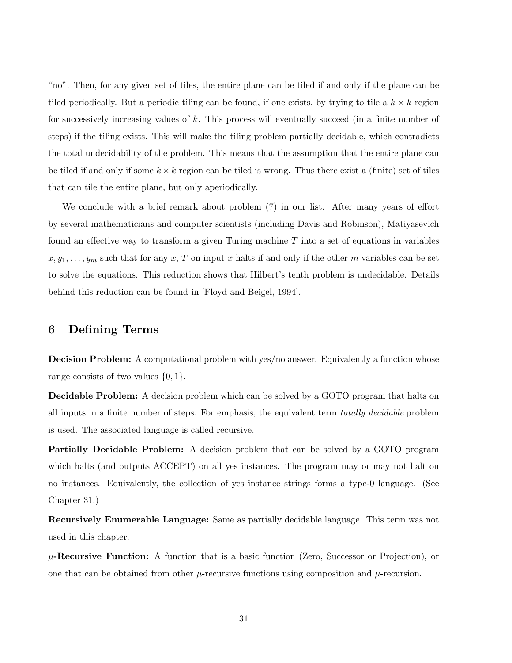"no". Then, for any given set of tiles, the entire plane can be tiled if and only if the plane can be tiled periodically. But a periodic tiling can be found, if one exists, by trying to tile a  $k \times k$  region for successively increasing values of k. This process will eventually succeed (in a finite number of steps) if the tiling exists. This will make the tiling problem partially decidable, which contradicts the total undecidability of the problem. This means that the assumption that the entire plane can be tiled if and only if some  $k \times k$  region can be tiled is wrong. Thus there exist a (finite) set of tiles that can tile the entire plane, but only aperiodically.

We conclude with a brief remark about problem (7) in our list. After many years of effort by several mathematicians and computer scientists (including Davis and Robinson), Matiyasevich found an effective way to transform a given Turing machine  $T$  into a set of equations in variables  $x, y_1, \ldots, y_m$  such that for any x, T on input x halts if and only if the other m variables can be set to solve the equations. This reduction shows that Hilbert's tenth problem is undecidable. Details behind this reduction can be found in [Floyd and Beigel, 1994].

### 6 Defining Terms

**Decision Problem:** A computational problem with yes/no answer. Equivalently a function whose range consists of two values  $\{0, 1\}.$ 

Decidable Problem: A decision problem which can be solved by a GOTO program that halts on all inputs in a finite number of steps. For emphasis, the equivalent term totally decidable problem is used. The associated language is called recursive.

Partially Decidable Problem: A decision problem that can be solved by a GOTO program which halts (and outputs ACCEPT) on all yes instances. The program may or may not halt on no instances. Equivalently, the collection of yes instance strings forms a type-0 language. (See Chapter 31.)

Recursively Enumerable Language: Same as partially decidable language. This term was not used in this chapter.

 $\mu$ -Recursive Function: A function that is a basic function (Zero, Successor or Projection), or one that can be obtained from other  $\mu$ -recursive functions using composition and  $\mu$ -recursion.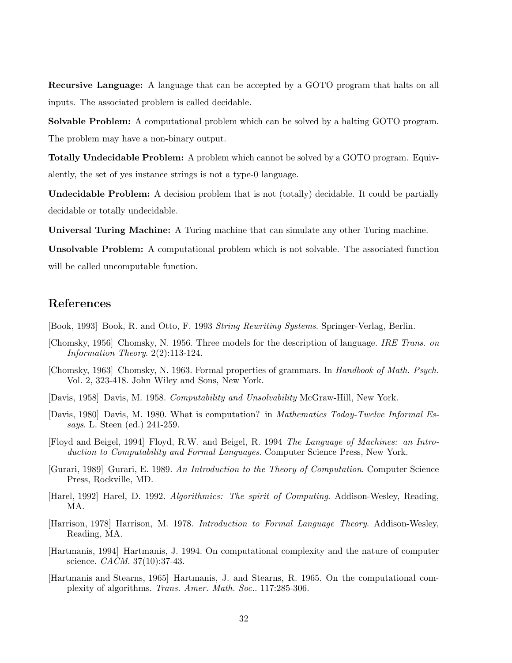Recursive Language: A language that can be accepted by a GOTO program that halts on all inputs. The associated problem is called decidable.

Solvable Problem: A computational problem which can be solved by a halting GOTO program. The problem may have a non-binary output.

Totally Undecidable Problem: A problem which cannot be solved by a GOTO program. Equivalently, the set of yes instance strings is not a type-0 language.

Undecidable Problem: A decision problem that is not (totally) decidable. It could be partially decidable or totally undecidable.

Universal Turing Machine: A Turing machine that can simulate any other Turing machine.

Unsolvable Problem: A computational problem which is not solvable. The associated function will be called uncomputable function.

## References

[Book, 1993] Book, R. and Otto, F. 1993 String Rewriting Systems. Springer-Verlag, Berlin.

- [Chomsky, 1956] Chomsky, N. 1956. Three models for the description of language. IRE Trans. on Information Theory. 2(2):113-124.
- [Chomsky, 1963] Chomsky, N. 1963. Formal properties of grammars. In Handbook of Math. Psych. Vol. 2, 323-418. John Wiley and Sons, New York.
- [Davis, 1958] Davis, M. 1958. Computability and Unsolvability McGraw-Hill, New York.
- [Davis, 1980] Davis, M. 1980. What is computation? in Mathematics Today-Twelve Informal Essays. L. Steen (ed.) 241-259.
- [Floyd and Beigel, 1994] Floyd, R.W. and Beigel, R. 1994 The Language of Machines: an Introduction to Computability and Formal Languages. Computer Science Press, New York.
- [Gurari, 1989] Gurari, E. 1989. An Introduction to the Theory of Computation. Computer Science Press, Rockville, MD.
- [Harel, 1992] Harel, D. 1992. Algorithmics: The spirit of Computing. Addison-Wesley, Reading, MA.
- [Harrison, 1978] Harrison, M. 1978. Introduction to Formal Language Theory. Addison-Wesley, Reading, MA.
- [Hartmanis, 1994] Hartmanis, J. 1994. On computational complexity and the nature of computer science. CACM. 37(10):37-43.
- [Hartmanis and Stearns, 1965] Hartmanis, J. and Stearns, R. 1965. On the computational complexity of algorithms. Trans. Amer. Math. Soc.. 117:285-306.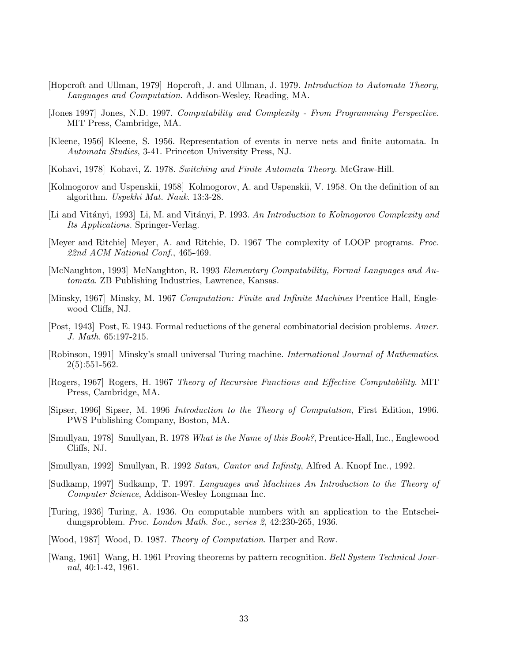- [Hopcroft and Ullman, 1979] Hopcroft, J. and Ullman, J. 1979. Introduction to Automata Theory, Languages and Computation. Addison-Wesley, Reading, MA.
- [Jones 1997] Jones, N.D. 1997. Computability and Complexity From Programming Perspective. MIT Press, Cambridge, MA.
- [Kleene, 1956] Kleene, S. 1956. Representation of events in nerve nets and finite automata. In Automata Studies, 3-41. Princeton University Press, NJ.
- [Kohavi, 1978] Kohavi, Z. 1978. Switching and Finite Automata Theory. McGraw-Hill.
- [Kolmogorov and Uspenskii, 1958] Kolmogorov, A. and Uspenskii, V. 1958. On the definition of an algorithm. Uspekhi Mat. Nauk. 13:3-28.
- [Li and Vitányi, 1993] Li, M. and Vitányi, P. 1993. An Introduction to Kolmogorov Complexity and Its Applications. Springer-Verlag.
- [Meyer and Ritchie] Meyer, A. and Ritchie, D. 1967 The complexity of LOOP programs. Proc. 22nd ACM National Conf., 465-469.
- [McNaughton, 1993] McNaughton, R. 1993 Elementary Computability, Formal Languages and Automata. ZB Publishing Industries, Lawrence, Kansas.
- [Minsky, 1967] Minsky, M. 1967 Computation: Finite and Infinite Machines Prentice Hall, Englewood Cliffs, NJ.
- [Post, 1943] Post, E. 1943. Formal reductions of the general combinatorial decision problems. Amer. J. Math. 65:197-215.
- [Robinson, 1991] Minsky's small universal Turing machine. International Journal of Mathematics. 2(5):551-562.
- [Rogers, 1967] Rogers, H. 1967 Theory of Recursive Functions and Effective Computability. MIT Press, Cambridge, MA.
- [Sipser, 1996] Sipser, M. 1996 Introduction to the Theory of Computation, First Edition, 1996. PWS Publishing Company, Boston, MA.
- [Smullyan, 1978] Smullyan, R. 1978 What is the Name of this Book?, Prentice-Hall, Inc., Englewood Cliffs, NJ.
- [Smullyan, 1992] Smullyan, R. 1992 Satan, Cantor and Infinity, Alfred A. Knopf Inc., 1992.
- [Sudkamp, 1997] Sudkamp, T. 1997. Languages and Machines An Introduction to the Theory of Computer Science, Addison-Wesley Longman Inc.
- [Turing, 1936] Turing, A. 1936. On computable numbers with an application to the Entscheidungsproblem. Proc. London Math. Soc., series 2, 42:230-265, 1936.
- [Wood, 1987] Wood, D. 1987. Theory of Computation. Harper and Row.
- [Wang, 1961] Wang, H. 1961 Proving theorems by pattern recognition. Bell System Technical Journal, 40:1-42, 1961.